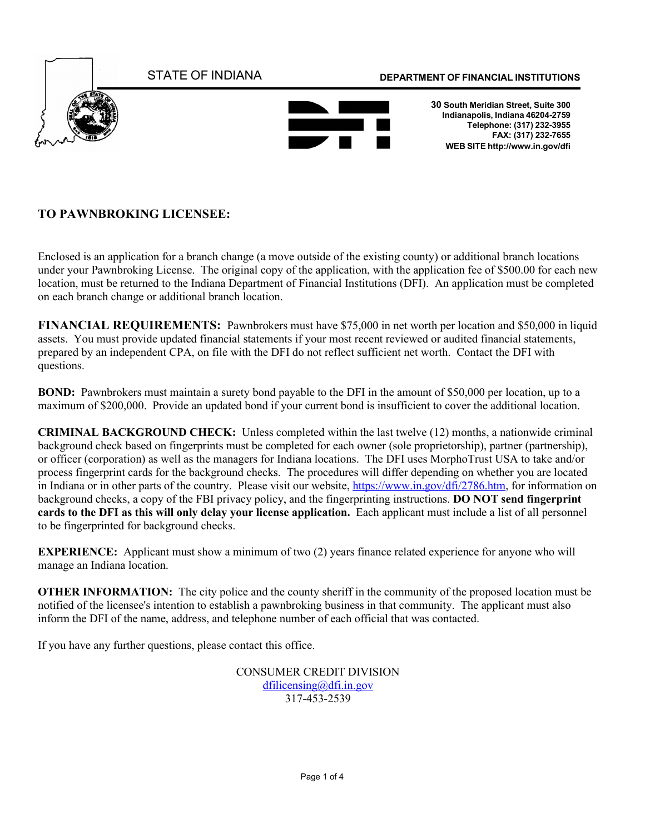

## **TO PAWNBROKING LICENSEE:**

Enclosed is an application for a branch change (a move outside of the existing county) or additional branch locations under your Pawnbroking License. The original copy of the application, with the application fee of \$500.00 for each new location, must be returned to the Indiana Department of Financial Institutions (DFI). An application must be completed on each branch change or additional branch location.

**FINANCIAL REQUIREMENTS:** Pawnbrokers must have \$75,000 in net worth per location and \$50,000 in liquid assets. You must provide updated financial statements if your most recent reviewed or audited financial statements, prepared by an independent CPA, on file with the DFI do not reflect sufficient net worth. Contact the DFI with questions.

**BOND:** Pawnbrokers must maintain a surety bond payable to the DFI in the amount of \$50,000 per location, up to a maximum of \$200,000. Provide an updated bond if your current bond is insufficient to cover the additional location.

**CRIMINAL BACKGROUND CHECK:** Unless completed within the last twelve (12) months, a nationwide criminal background check based on fingerprints must be completed for each owner (sole proprietorship), partner (partnership), or officer (corporation) as well as the managers for Indiana locations. The DFI uses MorphoTrust USA to take and/or process fingerprint cards for the background checks. The procedures will differ depending on whether you are located in Indiana or in other parts of the country. Please visit our website, [https://www.in.gov/dfi/2786.htm,](https://www.in.gov/dfi/2786.htm) for information on background checks, a copy of the FBI privacy policy, and the fingerprinting instructions. **DO NOT send fingerprint cards to the DFI as this will only delay your license application.** Each applicant must include a list of all personnel to be fingerprinted for background checks.

**EXPERIENCE:** Applicant must show a minimum of two (2) years finance related experience for anyone who will manage an Indiana location.

**OTHER INFORMATION:** The city police and the county sheriff in the community of the proposed location must be notified of the licensee's intention to establish a pawnbroking business in that community. The applicant must also inform the DFI of the name, address, and telephone number of each official that was contacted.

If you have any further questions, please contact this office.

CONSUMER CREDIT DIVISION [dfilicensing@dfi.in.gov](mailto:dfilicensing@dfi.in.gov) 317-453-2539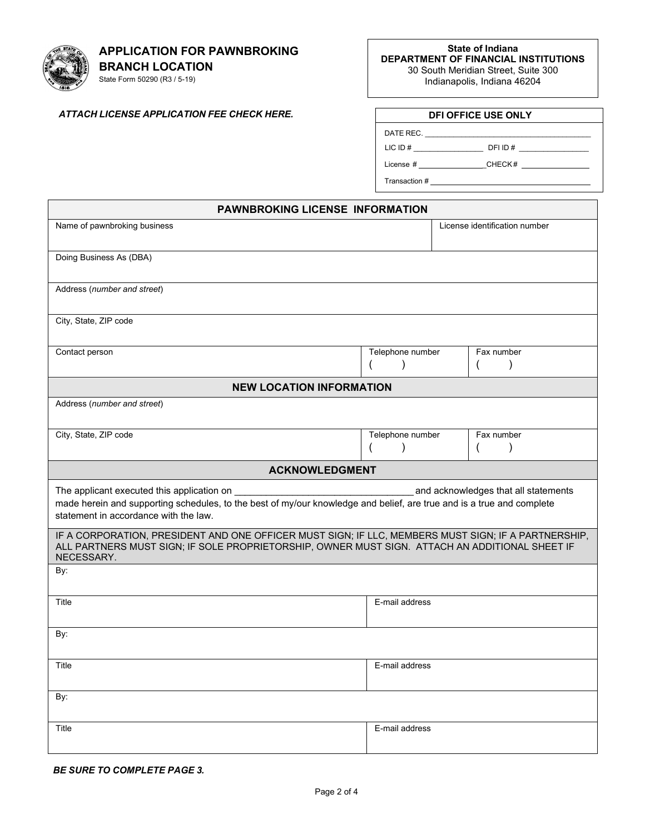# **APPLICATION FOR PAWNBROKING**

**BRANCH LOCATION** State Form 50290 (R3 / 5-19)

 $\blacksquare$ 

**State of Indiana DEPARTMENT OF FINANCIAL INSTITUTIONS** 30 South Meridian Street, Suite 300 Indianapolis, Indiana 46204

## *ATTACH LICENSE APPLICATION FEE CHECK HERE.* **DFI OFFICE USE ONLY**

| DATE REC.  |         |
|------------|---------|
| LIC ID $#$ | DFI ID# |

License # \_CHECK #

Transaction #

| <b>PAWNBROKING LICENSE INFORMATION</b>                                                                                                                                                                                                               |                                               |                         |
|------------------------------------------------------------------------------------------------------------------------------------------------------------------------------------------------------------------------------------------------------|-----------------------------------------------|-------------------------|
| Name of pawnbroking business<br>License identification number                                                                                                                                                                                        |                                               |                         |
| Doing Business As (DBA)                                                                                                                                                                                                                              |                                               |                         |
| Address (number and street)                                                                                                                                                                                                                          |                                               |                         |
| City, State, ZIP code                                                                                                                                                                                                                                |                                               |                         |
| Contact person                                                                                                                                                                                                                                       | Telephone number<br>$\mathcal{E}$<br>$\left($ | Fax number<br>$\lambda$ |
| <b>NEW LOCATION INFORMATION</b>                                                                                                                                                                                                                      |                                               |                         |
| Address (number and street)                                                                                                                                                                                                                          |                                               |                         |
| City, State, ZIP code                                                                                                                                                                                                                                | Telephone number<br><sup>)</sup>              | Fax number              |
| <b>ACKNOWLEDGMENT</b>                                                                                                                                                                                                                                |                                               |                         |
| The applicant executed this application on<br>and acknowledges that all statements<br>made herein and supporting schedules, to the best of my/our knowledge and belief, are true and is a true and complete<br>statement in accordance with the law. |                                               |                         |
| IF A CORPORATION, PRESIDENT AND ONE OFFICER MUST SIGN; IF LLC, MEMBERS MUST SIGN; IF A PARTNERSHIP,<br>ALL PARTNERS MUST SIGN; IF SOLE PROPRIETORSHIP, OWNER MUST SIGN. ATTACH AN ADDITIONAL SHEET IF<br>NECESSARY.                                  |                                               |                         |
| By:                                                                                                                                                                                                                                                  |                                               |                         |
| Title                                                                                                                                                                                                                                                | E-mail address                                |                         |
| By:                                                                                                                                                                                                                                                  |                                               |                         |
| Title                                                                                                                                                                                                                                                | E-mail address                                |                         |
| By:                                                                                                                                                                                                                                                  |                                               |                         |
| Title                                                                                                                                                                                                                                                | E-mail address                                |                         |

#### *BE SURE TO COMPLETE PAGE 3.*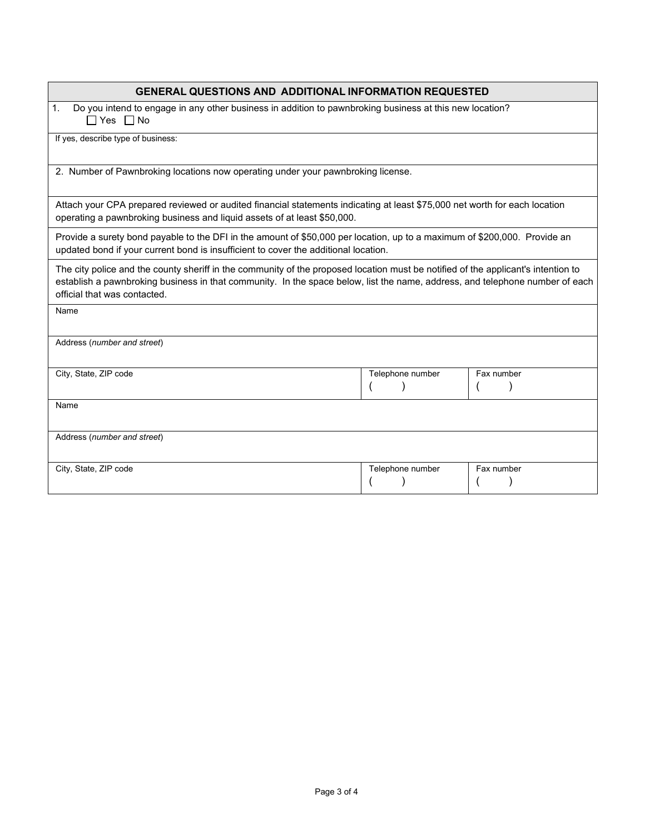### **GENERAL QUESTIONS AND ADDITIONAL INFORMATION REQUESTED**

1. Do you intend to engage in any other business in addition to pawnbroking business at this new location?  $\Box$  Yes  $\Box$  No

If yes, describe type of business:

2. Number of Pawnbroking locations now operating under your pawnbroking license.

Attach your CPA prepared reviewed or audited financial statements indicating at least \$75,000 net worth for each location operating a pawnbroking business and liquid assets of at least \$50,000.

Provide a surety bond payable to the DFI in the amount of \$50,000 per location, up to a maximum of \$200,000. Provide an updated bond if your current bond is insufficient to cover the additional location.

The city police and the county sheriff in the community of the proposed location must be notified of the applicant's intention to establish a pawnbroking business in that community. In the space below, list the name, address, and telephone number of each official that was contacted.

Name

Address (*number and street*)

| City, State, ZIP code       | Telephone number | Fax number |
|-----------------------------|------------------|------------|
|                             |                  |            |
|                             |                  |            |
| Name                        |                  |            |
|                             |                  |            |
|                             |                  |            |
| Address (number and street) |                  |            |
|                             |                  |            |
|                             |                  |            |
| City, State, ZIP code       | Telephone number | Fax number |
|                             |                  |            |
|                             |                  |            |